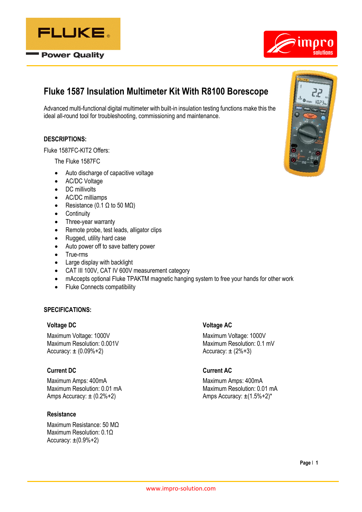

**Power Quality** 



# **Fluke 1587 Insulation Multimeter Kit With R8100 Borescope**

Advanced multi-functional digital multimeter with built-in insulation testing functions make this the ideal all-round tool for troubleshooting, commissioning and maintenance.

## **DESCRIPTIONS:**

Fluke 1587FC-KIT2 Offers:

The Fluke 1587FC

- Auto discharge of capacitive voltage
- AC/DC Voltage
- DC millivolts
- AC/DC milliamps
- Resistance (0.1  $\Omega$  to 50 M $\Omega$ )
- Continuity
- Three-year warranty
- Remote probe, test leads, alligator clips
- Rugged, utility hard case
- Auto power off to save battery power
- True-rms
- Large display with backlight
- CAT III 100V, CAT IV 600V measurement category
- mAccepts optional Fluke TPAKTM magnetic hanging system to free your hands for other work
- Fluke Connects compatibility

## **SPECIFICATIONS:**

#### **Voltage DC**

Maximum Voltage: 1000V Maximum Resolution: 0.001V Accuracy:  $\pm (0.09\% + 2)$ 

## **Current DC**

Maximum Amps: 400mA Maximum Resolution: 0.01 mA Amps Accuracy:  $\pm$  (0.2%+2)

### **Resistance**

Maximum Resistance: 50 MΩ Maximum Resolution: 0.1Ω Accuracy:  $\pm(0.9\% + 2)$ 

### **Voltage AC**

Maximum Voltage: 1000V Maximum Resolution: 0.1 mV Accuracy:  $\pm$  (2%+3)

### **Current AC**

Maximum Amps: 400mA Maximum Resolution: 0.01 mA Amps Accuracy: ±(1.5%+2)\*